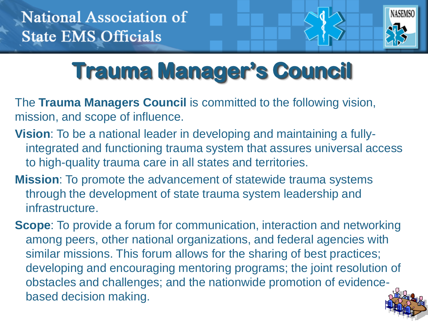

# **Trauma Manager's Council**

The **Trauma Managers Council** is committed to the following vision, mission, and scope of influence.

- **Vision**: To be a national leader in developing and maintaining a fullyintegrated and functioning trauma system that assures universal access to high-quality trauma care in all states and territories.
- **Mission**: To promote the advancement of statewide trauma systems through the development of state trauma system leadership and infrastructure.
- **Scope**: To provide a forum for communication, interaction and networking among peers, other national organizations, and federal agencies with similar missions. This forum allows for the sharing of best practices; developing and encouraging mentoring programs; the joint resolution of obstacles and challenges; and the nationwide promotion of evidencebased decision making.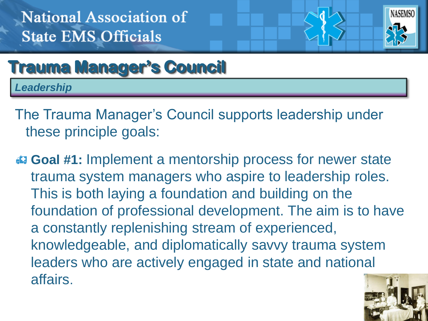

# **Trauma Manager's Council**

*Leadership*

The Trauma Manager's Council supports leadership under these principle goals:

 **Goal #1:** Implement a mentorship process for newer state trauma system managers who aspire to leadership roles. This is both laying a foundation and building on the foundation of professional development. The aim is to have a constantly replenishing stream of experienced, knowledgeable, and diplomatically savvy trauma system leaders who are actively engaged in state and national affairs.

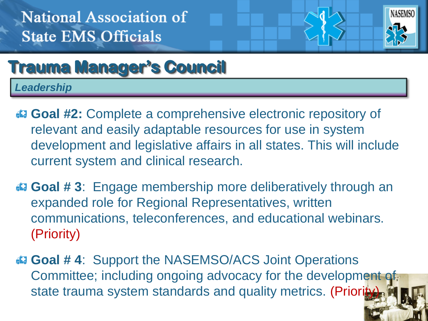

# **Trauma Manager's Council**

*Leadership*

- **Goal #2:** Complete a comprehensive electronic repository of relevant and easily adaptable resources for use in system development and legislative affairs in all states. This will include current system and clinical research.
- **Goal # 3**: Engage membership more deliberatively through an expanded role for Regional Representatives, written communications, teleconferences, and educational webinars. (Priority)
- **Goal # 4**: Support the NASEMSO/ACS Joint Operations Committee; including ongoing advocacy for the development of state trauma system standards and quality metrics. (Priorited: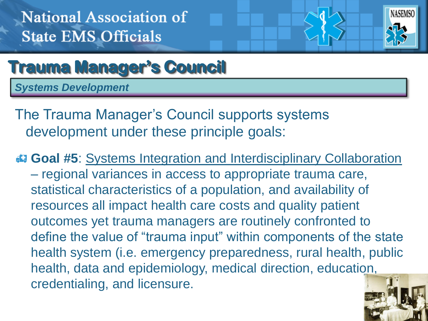

#### **Trauma Manager's Council**

*Systems Development*

The Trauma Manager's Council supports systems development under these principle goals:

 **Goal #5**: Systems Integration and Interdisciplinary Collaboration – regional variances in access to appropriate trauma care, statistical characteristics of a population, and availability of resources all impact health care costs and quality patient outcomes yet trauma managers are routinely confronted to define the value of "trauma input" within components of the state health system (i.e. emergency preparedness, rural health, public health, data and epidemiology, medical direction, education, credentialing, and licensure.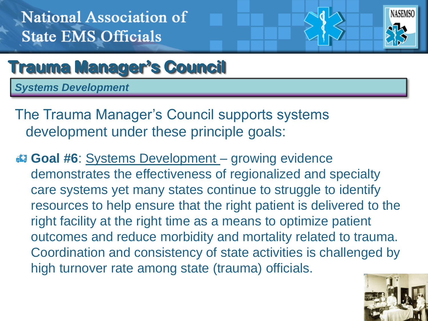

### **Trauma Manager's Council**

*Systems Development*

The Trauma Manager's Council supports systems development under these principle goals:

**Goal #6**: Systems Development – growing evidence demonstrates the effectiveness of regionalized and specialty care systems yet many states continue to struggle to identify resources to help ensure that the right patient is delivered to the right facility at the right time as a means to optimize patient outcomes and reduce morbidity and mortality related to trauma. Coordination and consistency of state activities is challenged by high turnover rate among state (trauma) officials.

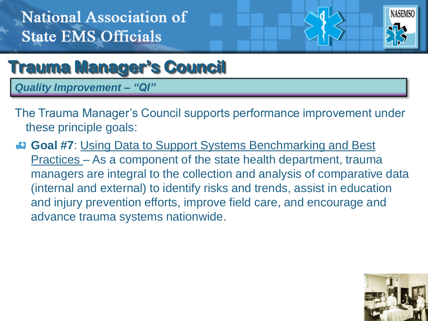

#### **Trauma Manager's Council**

*Quality Improvement – "QI"*

- The Trauma Manager's Council supports performance improvement under these principle goals:
- **Goal #7**: Using Data to Support Systems Benchmarking and Best Practices – As a component of the state health department, trauma managers are integral to the collection and analysis of comparative data (internal and external) to identify risks and trends, assist in education and injury prevention efforts, improve field care, and encourage and advance trauma systems nationwide.

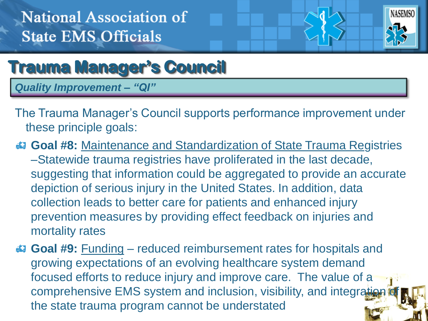

# **Trauma Manager's Council**

*Quality Improvement – "QI"*

- The Trauma Manager's Council supports performance improvement under these principle goals:
- **Goal #8:** Maintenance and Standardization of State Trauma Registries –Statewide trauma registries have proliferated in the last decade, suggesting that information could be aggregated to provide an accurate depiction of serious injury in the United States. In addition, data collection leads to better care for patients and enhanced injury prevention measures by providing effect feedback on injuries and mortality rates
- **Goal #9:** Funding reduced reimbursement rates for hospitals and growing expectations of an evolving healthcare system demand focused efforts to reduce injury and improve care. The value of a comprehensive EMS system and inclusion, visibility, and integration the state trauma program cannot be understated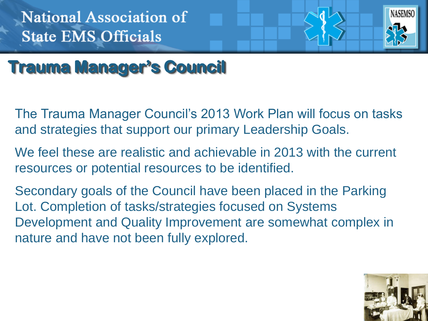

# **Trauma Manager's Council**

- The Trauma Manager Council's 2013 Work Plan will focus on tasks and strategies that support our primary Leadership Goals.
- We feel these are realistic and achievable in 2013 with the current resources or potential resources to be identified.
- Secondary goals of the Council have been placed in the Parking Lot. Completion of tasks/strategies focused on Systems Development and Quality Improvement are somewhat complex in nature and have not been fully explored.